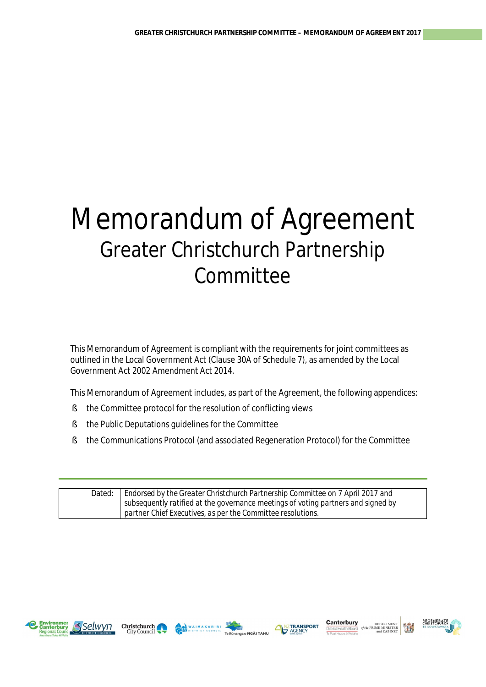# Memorandum of Agreement Greater Christchurch Partnership **Committee**

This Memorandum of Agreement is compliant with the requirements for joint committees as outlined in the Local Government Act (Clause 30A of Schedule 7), as amended by the Local Government Act 2002 Amendment Act 2014.

This Memorandum of Agreement includes, as part of the Agreement, the following appendices:

- § the Committee protocol for the resolution of conflicting views
- § the Public Deputations guidelines for the Committee
- § the Communications Protocol (and associated Regeneration Protocol) for the Committee

| Dated: | Endorsed by the Greater Christchurch Partnership Committee on 7 April 2017 and    |
|--------|-----------------------------------------------------------------------------------|
|        | subsequently ratified at the governance meetings of voting partners and signed by |
|        | partner Chief Executives, as per the Committee resolutions.                       |









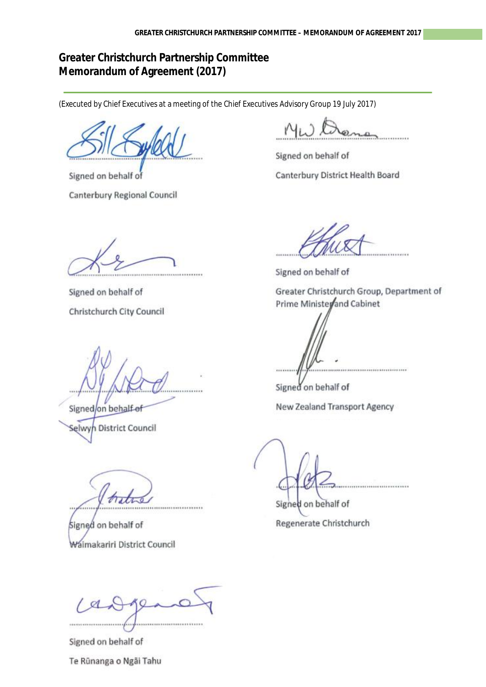# **Greater Christchurch Partnership Committee Memorandum of Agreement (2017)**

(Executed by Chief Executives at a meeting of the Chief Executives Advisory Group 19 July 2017)

Signed on behalf of Canterbury Regional Council

Signed on behalf of Canterbury District Health Board

Signed on behalf of Christchurch City Council

Signed/on behalf-of Selwyn District Council

Signed on behalf of Waimakariri District Council

Signed on behalf of

Greater Christchurch Group, Department of Prime Ministerand Cabinet

,,,,,,,,,,,,,,,,,,,,,,,,,,

Signed on behalf of

New Zealand Transport Agency

Signed on behalf of Regenerate Christchurch

,,,,,,,,,,,,,,,,,,,,,,,,,,,,,,

Signed on behalf of Te Rūnanga o Ngãi Tahu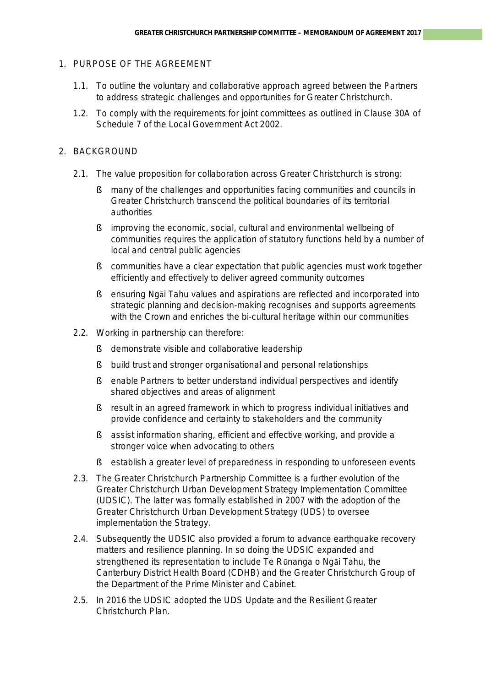# 1. PURPOSE OF THE AGREEMENT

- 1.1. To outline the voluntary and collaborative approach agreed between the Partners to address strategic challenges and opportunities for Greater Christchurch.
- 1.2. To comply with the requirements for joint committees as outlined in Clause 30A of Schedule 7 of the Local Government Act 2002.

## 2. BACKGROUND

- 2.1. The value proposition for collaboration across Greater Christchurch is strong:
	- § many of the challenges and opportunities facing communities and councils in Greater Christchurch transcend the political boundaries of its territorial authorities
	- § improving the economic, social, cultural and environmental wellbeing of communities requires the application of statutory functions held by a number of local and central public agencies
	- § communities have a clear expectation that public agencies must work together efficiently and effectively to deliver agreed community outcomes
	- § ensuring Ngāi Tahu values and aspirations are reflected and incorporated into strategic planning and decision-making recognises and supports agreements with the Crown and enriches the bi-cultural heritage within our communities
- 2.2. Working in partnership can therefore:
	- § demonstrate visible and collaborative leadership
	- § build trust and stronger organisational and personal relationships
	- § enable Partners to better understand individual perspectives and identify shared objectives and areas of alignment
	- § result in an agreed framework in which to progress individual initiatives and provide confidence and certainty to stakeholders and the community
	- § assist information sharing, efficient and effective working, and provide a stronger voice when advocating to others
	- § establish a greater level of preparedness in responding to unforeseen events
- 2.3. The Greater Christchurch Partnership Committee is a further evolution of the Greater Christchurch Urban Development Strategy Implementation Committee (UDSIC). The latter was formally established in 2007 with the adoption of the Greater Christchurch Urban Development Strategy (UDS) to oversee implementation the Strategy.
- 2.4. Subsequently the UDSIC also provided a forum to advance earthquake recovery matters and resilience planning. In so doing the UDSIC expanded and strengthened its representation to include Te Rūnanga o Ngāi Tahu, the Canterbury District Health Board (CDHB) and the Greater Christchurch Group of the Department of the Prime Minister and Cabinet.
- 2.5. In 2016 the UDSIC adopted the UDS Update and the Resilient Greater Christchurch Plan.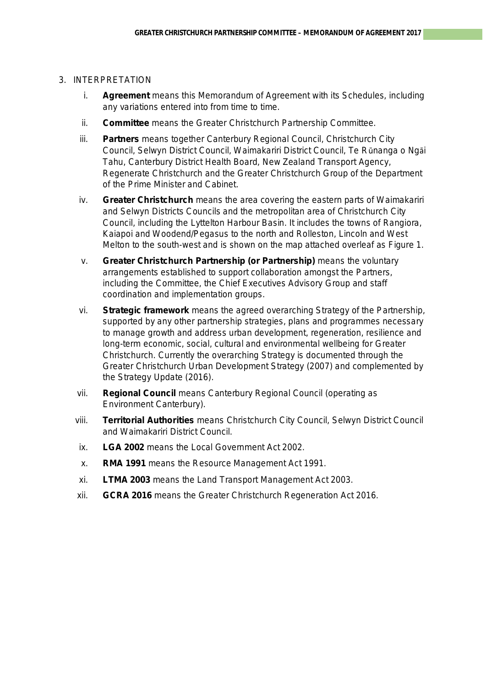#### 3. INTERPRETATION

- i. **Agreement** means this Memorandum of Agreement with its Schedules, including any variations entered into from time to time.
- ii. **Committee** means the Greater Christchurch Partnership Committee.
- iii. **Partners** means together Canterbury Regional Council, Christchurch City Council, Selwyn District Council, Waimakariri District Council, Te Rūnanga o Ngāi Tahu, Canterbury District Health Board, New Zealand Transport Agency, Regenerate Christchurch and the Greater Christchurch Group of the Department of the Prime Minister and Cabinet.
- iv. **Greater Christchurch** means the area covering the eastern parts of Waimakariri and Selwyn Districts Councils and the metropolitan area of Christchurch City Council, including the Lyttelton Harbour Basin. It includes the towns of Rangiora, Kaiapoi and Woodend/Pegasus to the north and Rolleston, Lincoln and West Melton to the south-west and is shown on the map attached overleaf as Figure 1.
- v. **Greater Christchurch Partnership (or Partnership)** means the voluntary arrangements established to support collaboration amongst the Partners, including the Committee, the Chief Executives Advisory Group and staff coordination and implementation groups.
- vi. **Strategic framework** means the agreed overarching Strategy of the Partnership, supported by any other partnership strategies, plans and programmes necessary to manage growth and address urban development, regeneration, resilience and long-term economic, social, cultural and environmental wellbeing for Greater Christchurch. Currently the overarching Strategy is documented through the Greater Christchurch Urban Development Strategy (2007) and complemented by the Strategy Update (2016).
- vii. **Regional Council** means Canterbury Regional Council (operating as Environment Canterbury).
- viii. **Territorial Authorities** means Christchurch City Council, Selwyn District Council and Waimakariri District Council.
- ix. **LGA 2002** means the Local Government Act 2002.
- x. **RMA 1991** means the Resource Management Act 1991.
- xi. **LTMA 2003** means the Land Transport Management Act 2003.
- xii. **GCRA 2016** means the Greater Christchurch Regeneration Act 2016.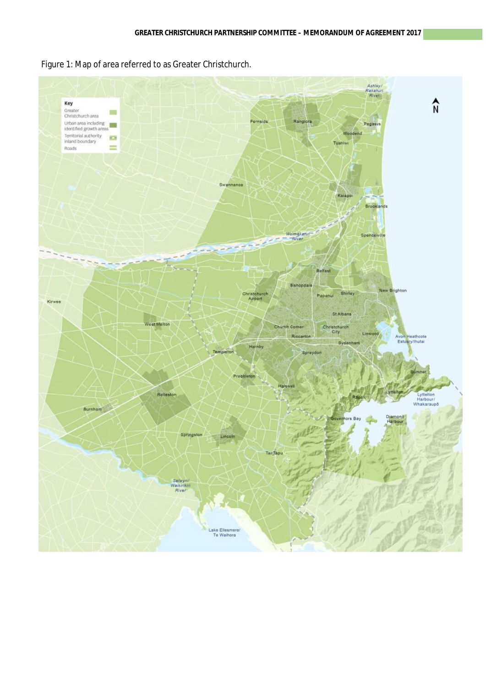Figure 1: Map of area referred to as Greater Christchurch.

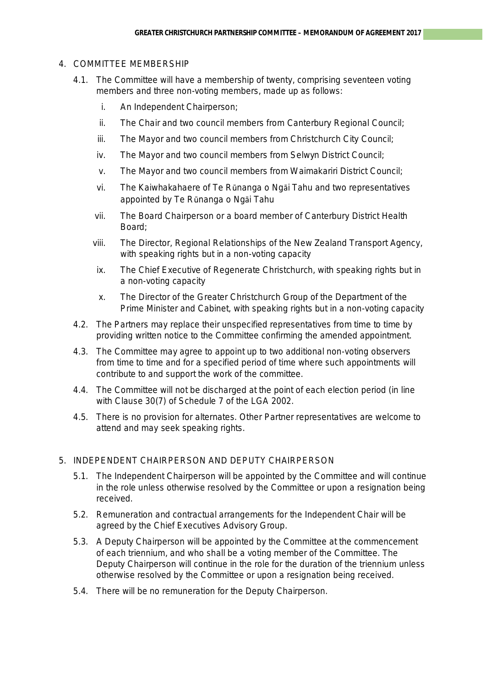# 4. COMMITTEE MEMBERSHIP

- 4.1. The Committee will have a membership of twenty, comprising seventeen voting members and three non-voting members, made up as follows:
	- i. An Independent Chairperson;
	- ii. The Chair and two council members from Canterbury Regional Council;
	- iii. The Mayor and two council members from Christchurch City Council;
	- iv. The Mayor and two council members from Selwyn District Council;
	- v. The Mayor and two council members from Waimakariri District Council;
	- vi. The Kaiwhakahaere of Te Rūnanga o Ngāi Tahu and two representatives appointed by Te Rūnanga o Ngāi Tahu
	- vii. The Board Chairperson or a board member of Canterbury District Health Board;
	- viii. The Director, Regional Relationships of the New Zealand Transport Agency, with speaking rights but in a non-voting capacity
	- ix. The Chief Executive of Regenerate Christchurch, with speaking rights but in a non-voting capacity
	- x. The Director of the Greater Christchurch Group of the Department of the Prime Minister and Cabinet, with speaking rights but in a non-voting capacity
- 4.2. The Partners may replace their unspecified representatives from time to time by providing written notice to the Committee confirming the amended appointment.
- 4.3. The Committee may agree to appoint up to two additional non-voting observers from time to time and for a specified period of time where such appointments will contribute to and support the work of the committee.
- 4.4. The Committee will not be discharged at the point of each election period (in line with Clause 30(7) of Schedule 7 of the LGA 2002.
- 4.5. There is no provision for alternates. Other Partner representatives are welcome to attend and may seek speaking rights.

# 5. INDEPENDENT CHAIRPERSON AND DEPUTY CHAIRPERSON

- 5.1. The Independent Chairperson will be appointed by the Committee and will continue in the role unless otherwise resolved by the Committee or upon a resignation being received.
- 5.2. Remuneration and contractual arrangements for the Independent Chair will be agreed by the Chief Executives Advisory Group.
- 5.3. A Deputy Chairperson will be appointed by the Committee at the commencement of each triennium, and who shall be a voting member of the Committee. The Deputy Chairperson will continue in the role for the duration of the triennium unless otherwise resolved by the Committee or upon a resignation being received.
- 5.4. There will be no remuneration for the Deputy Chairperson.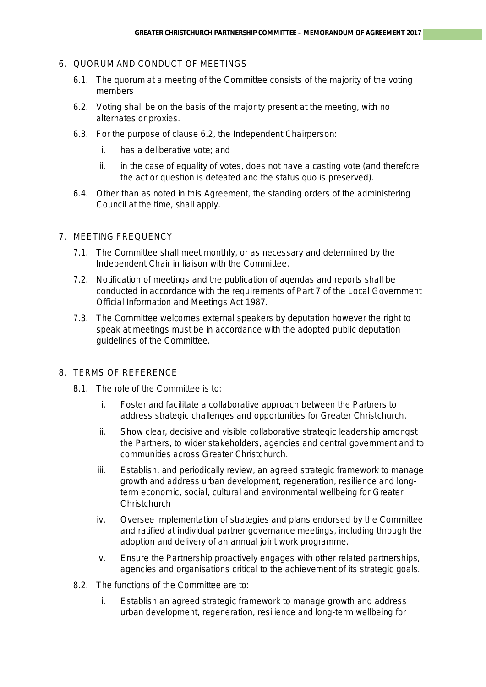# 6. QUORUM AND CONDUCT OF MEETINGS

- 6.1. The quorum at a meeting of the Committee consists of the majority of the voting members
- 6.2. Voting shall be on the basis of the majority present at the meeting, with no alternates or proxies.
- 6.3. For the purpose of clause 6.2, the Independent Chairperson:
	- i. has a deliberative vote; and
	- ii. in the case of equality of votes, does not have a casting vote (and therefore the act or question is defeated and the status quo is preserved).
- 6.4. Other than as noted in this Agreement, the standing orders of the administering Council at the time, shall apply.

# 7. MEETING FREQUENCY

- 7.1. The Committee shall meet monthly, or as necessary and determined by the Independent Chair in liaison with the Committee.
- 7.2. Notification of meetings and the publication of agendas and reports shall be conducted in accordance with the requirements of Part 7 of the Local Government Official Information and Meetings Act 1987.
- 7.3. The Committee welcomes external speakers by deputation however the right to speak at meetings must be in accordance with the adopted public deputation guidelines of the Committee.

# 8. TERMS OF REFERENCE

- 8.1. The role of the Committee is to:
	- i. Foster and facilitate a collaborative approach between the Partners to address strategic challenges and opportunities for Greater Christchurch.
	- ii. Show clear, decisive and visible collaborative strategic leadership amongst the Partners, to wider stakeholders, agencies and central government and to communities across Greater Christchurch.
	- iii. Establish, and periodically review, an agreed strategic framework to manage growth and address urban development, regeneration, resilience and longterm economic, social, cultural and environmental wellbeing for Greater **Christchurch**
	- iv. Oversee implementation of strategies and plans endorsed by the Committee and ratified at individual partner governance meetings, including through the adoption and delivery of an annual joint work programme.
	- v. Ensure the Partnership proactively engages with other related partnerships, agencies and organisations critical to the achievement of its strategic goals.
- 8.2. The functions of the Committee are to:
	- i. Establish an agreed strategic framework to manage growth and address urban development, regeneration, resilience and long-term wellbeing for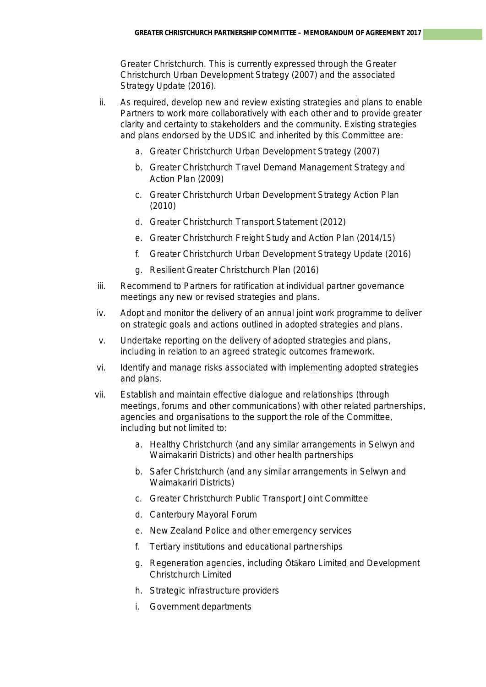Greater Christchurch. This is currently expressed through the Greater Christchurch Urban Development Strategy (2007) and the associated Strategy Update (2016).

- ii. As required, develop new and review existing strategies and plans to enable Partners to work more collaboratively with each other and to provide greater clarity and certainty to stakeholders and the community. Existing strategies and plans endorsed by the UDSIC and inherited by this Committee are:
	- a. Greater Christchurch Urban Development Strategy (2007)
	- b. Greater Christchurch Travel Demand Management Strategy and Action Plan (2009)
	- c. Greater Christchurch Urban Development Strategy Action Plan (2010)
	- d. Greater Christchurch Transport Statement (2012)
	- e. Greater Christchurch Freight Study and Action Plan (2014/15)
	- f. Greater Christchurch Urban Development Strategy Update (2016)
	- g. Resilient Greater Christchurch Plan (2016)
- iii. Recommend to Partners for ratification at individual partner governance meetings any new or revised strategies and plans.
- iv. Adopt and monitor the delivery of an annual joint work programme to deliver on strategic goals and actions outlined in adopted strategies and plans.
- v. Undertake reporting on the delivery of adopted strategies and plans, including in relation to an agreed strategic outcomes framework.
- vi. Identify and manage risks associated with implementing adopted strategies and plans.
- vii. Establish and maintain effective dialogue and relationships (through meetings, forums and other communications) with other related partnerships, agencies and organisations to the support the role of the Committee, including but not limited to:
	- a. Healthy Christchurch (and any similar arrangements in Selwyn and Waimakariri Districts) and other health partnerships
	- b. Safer Christchurch (and any similar arrangements in Selwyn and Waimakariri Districts)
	- c. Greater Christchurch Public Transport Joint Committee
	- d. Canterbury Mayoral Forum
	- e. New Zealand Police and other emergency services
	- f. Tertiary institutions and educational partnerships
	- g. Regeneration agencies, including Ōtākaro Limited and Development Christchurch Limited
	- h. Strategic infrastructure providers
	- i. Government departments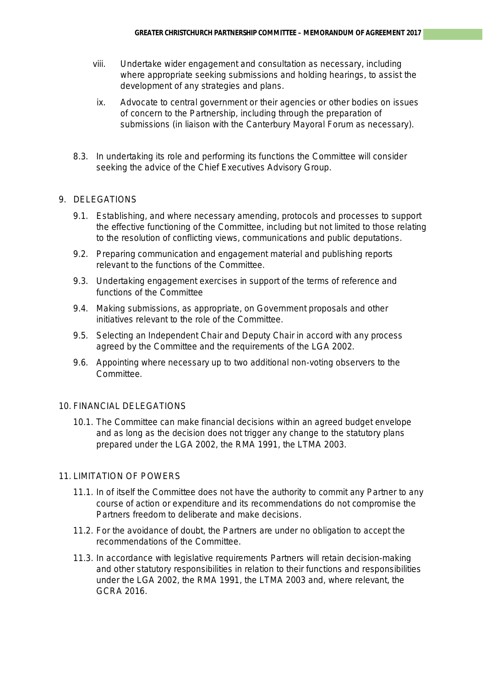- viii. Undertake wider engagement and consultation as necessary, including where appropriate seeking submissions and holding hearings, to assist the development of any strategies and plans.
- ix. Advocate to central government or their agencies or other bodies on issues of concern to the Partnership, including through the preparation of submissions (in liaison with the Canterbury Mayoral Forum as necessary).
- 8.3. In undertaking its role and performing its functions the Committee will consider seeking the advice of the Chief Executives Advisory Group.

# 9. DELEGATIONS

- 9.1. Establishing, and where necessary amending, protocols and processes to support the effective functioning of the Committee, including but not limited to those relating to the resolution of conflicting views, communications and public deputations.
- 9.2. Preparing communication and engagement material and publishing reports relevant to the functions of the Committee.
- 9.3. Undertaking engagement exercises in support of the terms of reference and functions of the Committee
- 9.4. Making submissions, as appropriate, on Government proposals and other initiatives relevant to the role of the Committee.
- 9.5. Selecting an Independent Chair and Deputy Chair in accord with any process agreed by the Committee and the requirements of the LGA 2002.
- 9.6. Appointing where necessary up to two additional non-voting observers to the Committee.

# 10. FINANCIAL DELEGATIONS

10.1. The Committee can make financial decisions within an agreed budget envelope and as long as the decision does not trigger any change to the statutory plans prepared under the LGA 2002, the RMA 1991, the LTMA 2003.

# 11. LIMITATION OF POWERS

- 11.1. In of itself the Committee does not have the authority to commit any Partner to any course of action or expenditure and its recommendations do not compromise the Partners freedom to deliberate and make decisions.
- 11.2. For the avoidance of doubt, the Partners are under no obligation to accept the recommendations of the Committee.
- 11.3. In accordance with legislative requirements Partners will retain decision-making and other statutory responsibilities in relation to their functions and responsibilities under the LGA 2002, the RMA 1991, the LTMA 2003 and, where relevant, the GCRA 2016.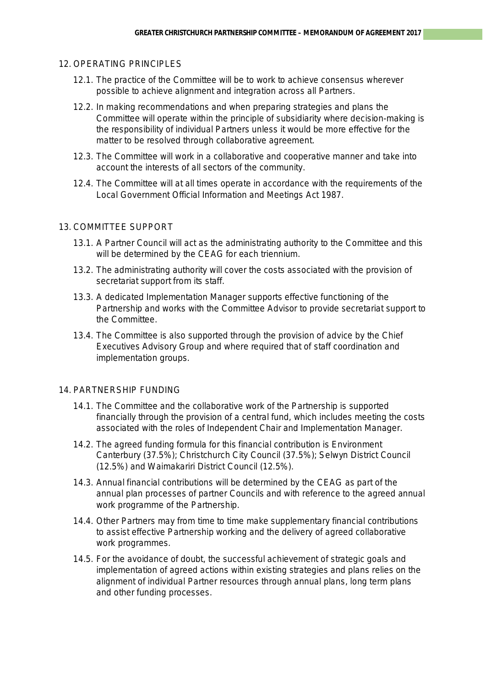#### 12. OPERATING PRINCIPLES

- 12.1. The practice of the Committee will be to work to achieve consensus wherever possible to achieve alignment and integration across all Partners.
- 12.2. In making recommendations and when preparing strategies and plans the Committee will operate within the principle of subsidiarity where decision-making is the responsibility of individual Partners unless it would be more effective for the matter to be resolved through collaborative agreement.
- 12.3. The Committee will work in a collaborative and cooperative manner and take into account the interests of all sectors of the community.
- 12.4. The Committee will at all times operate in accordance with the requirements of the Local Government Official Information and Meetings Act 1987.

#### 13. COMMITTEE SUPPORT

- 13.1. A Partner Council will act as the administrating authority to the Committee and this will be determined by the CEAG for each triennium.
- 13.2. The administrating authority will cover the costs associated with the provision of secretariat support from its staff.
- 13.3. A dedicated Implementation Manager supports effective functioning of the Partnership and works with the Committee Advisor to provide secretariat support to the Committee.
- 13.4. The Committee is also supported through the provision of advice by the Chief Executives Advisory Group and where required that of staff coordination and implementation groups.

#### 14. PARTNERSHIP FUNDING

- 14.1. The Committee and the collaborative work of the Partnership is supported financially through the provision of a central fund, which includes meeting the costs associated with the roles of Independent Chair and Implementation Manager.
- 14.2. The agreed funding formula for this financial contribution is Environment Canterbury (37.5%); Christchurch City Council (37.5%); Selwyn District Council (12.5%) and Waimakariri District Council (12.5%).
- 14.3. Annual financial contributions will be determined by the CEAG as part of the annual plan processes of partner Councils and with reference to the agreed annual work programme of the Partnership.
- 14.4. Other Partners may from time to time make supplementary financial contributions to assist effective Partnership working and the delivery of agreed collaborative work programmes.
- 14.5. For the avoidance of doubt, the successful achievement of strategic goals and implementation of agreed actions within existing strategies and plans relies on the alignment of individual Partner resources through annual plans, long term plans and other funding processes.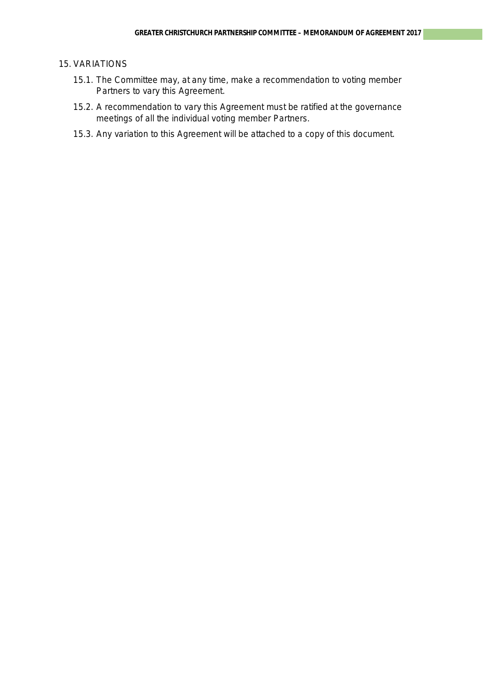#### 15. VARIATIONS

- 15.1. The Committee may, at any time, make a recommendation to voting member Partners to vary this Agreement.
- 15.2. A recommendation to vary this Agreement must be ratified at the governance meetings of all the individual voting member Partners.
- 15.3. Any variation to this Agreement will be attached to a copy of this document.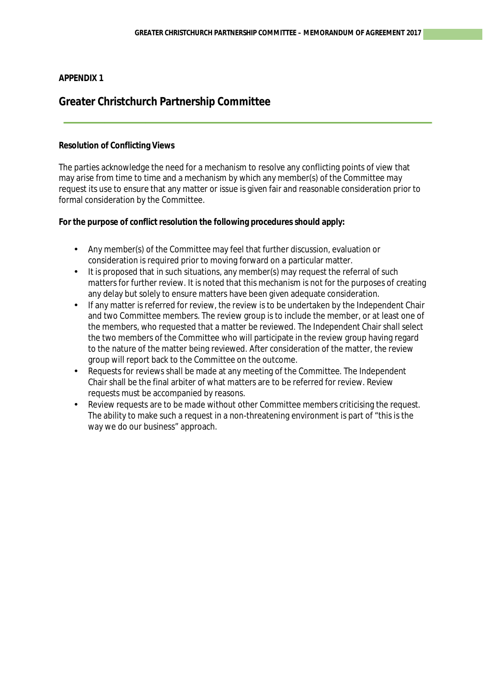# **APPENDIX 1**

# **Greater Christchurch Partnership Committee**

### **Resolution of Conflicting Views**

The parties acknowledge the need for a mechanism to resolve any conflicting points of view that may arise from time to time and a mechanism by which any member(s) of the Committee may request its use to ensure that any matter or issue is given fair and reasonable consideration prior to formal consideration by the Committee.

**For the purpose of conflict resolution the following procedures should apply:**

- Any member(s) of the Committee may feel that further discussion, evaluation or  $\mathcal{L}^{\text{max}}$ consideration is required prior to moving forward on a particular matter.
- It is proposed that in such situations, any member(s) may request the referral of such  $\mathcal{L}^{\text{max}}$ matters for further review. It is noted that this mechanism is not for the purposes of creating any delay but solely to ensure matters have been given adequate consideration.
- If any matter is referred for review, the review is to be undertaken by the Independent Chair and two Committee members. The review group is to include the member, or at least one of the members, who requested that a matter be reviewed. The Independent Chair shall select the two members of the Committee who will participate in the review group having regard to the nature of the matter being reviewed. After consideration of the matter, the review group will report back to the Committee on the outcome.
- Requests for reviews shall be made at any meeting of the Committee. The Independent Chair shall be the final arbiter of what matters are to be referred for review. Review requests must be accompanied by reasons.
- Review requests are to be made without other Committee members criticising the request. The ability to make such a request in a non-threatening environment is part of "this is the way we do our business" approach.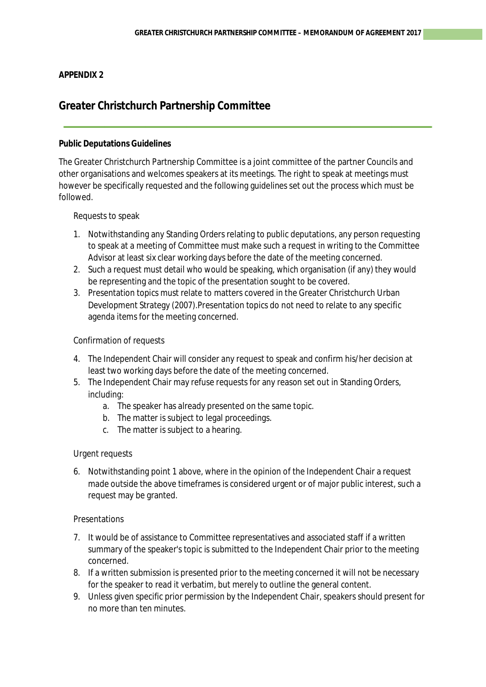## **APPENDIX 2**

# **Greater Christchurch Partnership Committee**

### **Public Deputations Guidelines**

The Greater Christchurch Partnership Committee is a joint committee of the partner Councils and other organisations and welcomes speakers at its meetings. The right to speak at meetings must however be specifically requested and the following guidelines set out the process which must be followed.

### Requests to speak

- 1. Notwithstanding any Standing Orders relating to public deputations, any person requesting to speak at a meeting of Committee must make such a request in writing to the Committee Advisor at least six clear working days before the date of the meeting concerned.
- 2. Such a request must detail who would be speaking, which organisation (if any) they would be representing and the topic of the presentation sought to be covered.
- 3. Presentation topics must relate to matters covered in the Greater Christchurch Urban Development Strategy (2007).Presentation topics do not need to relate to any specific agenda items for the meeting concerned.

## Confirmation of requests

- 4. The Independent Chair will consider any request to speak and confirm his/her decision at least two working days before the date of the meeting concerned.
- 5. The Independent Chair may refuse requests for any reason set out in Standing Orders, including:
	- a. The speaker has already presented on the same topic.
	- b. The matter is subject to legal proceedings.
	- c. The matter is subject to a hearing.

### Urgent requests

6. Notwithstanding point 1 above, where in the opinion of the Independent Chair a request made outside the above timeframes is considered urgent or of major public interest, such a request may be granted.

### Presentations

- 7. It would be of assistance to Committee representatives and associated staff if a written summary of the speaker's topic is submitted to the Independent Chair prior to the meeting concerned.
- 8. If a written submission is presented prior to the meeting concerned it will not be necessary for the speaker to read it verbatim, but merely to outline the general content.
- 9. Unless given specific prior permission by the Independent Chair, speakers should present for no more than ten minutes.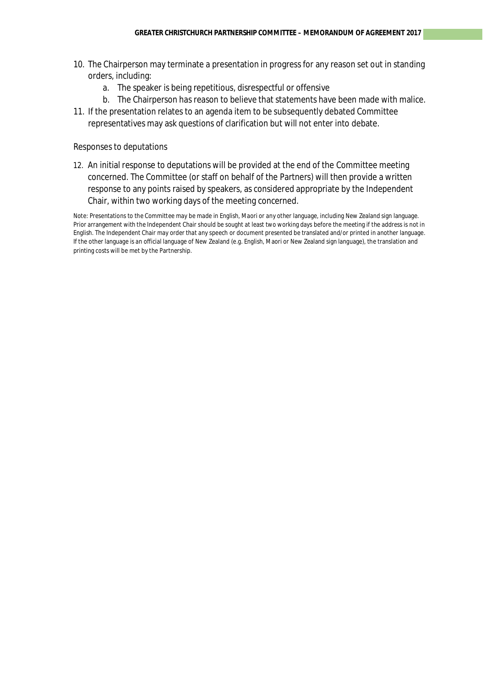- 10. The Chairperson may terminate a presentation in progress for any reason set out in standing orders, including:
	- a. The speaker is being repetitious, disrespectful or offensive
	- b. The Chairperson has reason to believe that statements have been made with malice.
- 11. If the presentation relates to an agenda item to be subsequently debated Committee representatives may ask questions of clarification but will not enter into debate.

#### Responses to deputations

12. An initial response to deputations will be provided at the end of the Committee meeting concerned. The Committee (or staff on behalf of the Partners) will then provide a written response to any points raised by speakers, as considered appropriate by the Independent Chair, within two working days of the meeting concerned.

Note: Presentations to the Committee may be made in English, Maori or any other language, including New Zealand sign language. Prior arrangement with the Independent Chair should be sought at least two working days before the meeting if the address is not in English. The Independent Chair may order that any speech or document presented be translated and/or printed in another language. If the other language is an official language of New Zealand (e.g. English, Maori or New Zealand sign language), the translation and printing costs will be met by the Partnership.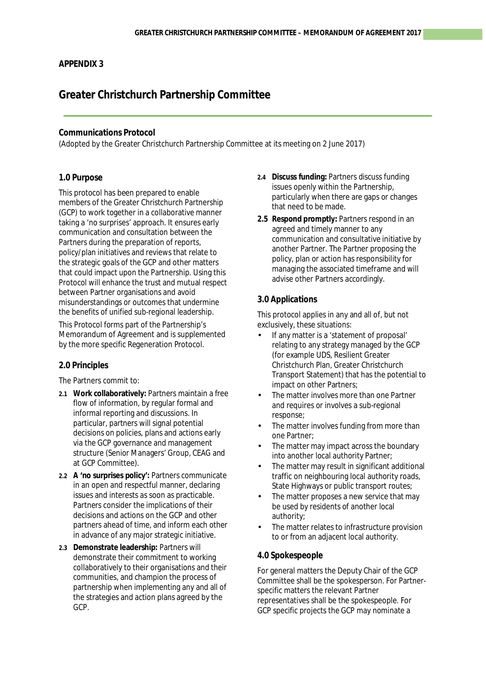### **APPENDIX 3**

# **Greater Christchurch Partnership Committee**

#### **Communications Protocol**

(Adopted by the Greater Christchurch Partnership Committee at its meeting on 2 June 2017)

#### **1.0 Purpose**

This protocol has been prepared to enable members of the Greater Christchurch Partnership (GCP) to work together in a collaborative manner taking a 'no surprises' approach. It ensures early communication and consultation between the Partners during the preparation of reports, policy/plan initiatives and reviews that relate to the strategic goals of the GCP and other matters that could impact upon the Partnership. Using this Protocol will enhance the trust and mutual respect between Partner organisations and avoid misunderstandings or outcomes that undermine the benefits of unified sub-regional leadership.

This Protocol forms part of the Partnership's Memorandum of Agreement and is supplemented by the more specific Regeneration Protocol.

#### **2.0 Principles**

The Partners commit to:

- **2.1 Work collaboratively:** Partners maintain a free flow of information, by regular formal and informal reporting and discussions. In particular, partners will signal potential decisions on policies, plans and actions early via the GCP governance and management structure (Senior Managers' Group, CEAG and at GCP Committee).
- **2.2 A 'no surprises policy':** Partners communicate in an open and respectful manner, declaring issues and interests as soon as practicable. Partners consider the implications of their decisions and actions on the GCP and other partners ahead of time, and inform each other in advance of any major strategic initiative.
- **2.3 Demonstrate leadership:** Partners will demonstrate their commitment to working collaboratively to their organisations and their communities, and champion the process of partnership when implementing any and all of the strategies and action plans agreed by the GCP.
- **2.4 Discuss funding:** Partners discuss funding issues openly within the Partnership, particularly when there are gaps or changes that need to be made.
- **2.5 Respond promptly:** Partners respond in an agreed and timely manner to any communication and consultative initiative by another Partner. The Partner proposing the policy, plan or action has responsibility for managing the associated timeframe and will advise other Partners accordingly.

#### **3.0 Applications**

This protocol applies in any and all of, but not exclusively, these situations:

- If any matter is a 'statement of proposal' relating to any strategy managed by the GCP (for example UDS, Resilient Greater Christchurch Plan, Greater Christchurch Transport Statement) that has the potential to impact on other Partners;
- The matter involves more than one Partner and requires or involves a sub-regional response;
- The matter involves funding from more than one Partner;
- The matter may impact across the boundary into another local authority Partner;
- The matter may result in significant additional traffic on neighbouring local authority roads, State Highways or public transport routes;
- The matter proposes a new service that may be used by residents of another local authority;
- The matter relates to infrastructure provision to or from an adjacent local authority.

#### **4.0 Spokespeople**

For general matters the Deputy Chair of the GCP Committee shall be the spokesperson. For Partnerspecific matters the relevant Partner representatives shall be the spokespeople. For GCP specific projects the GCP may nominate a